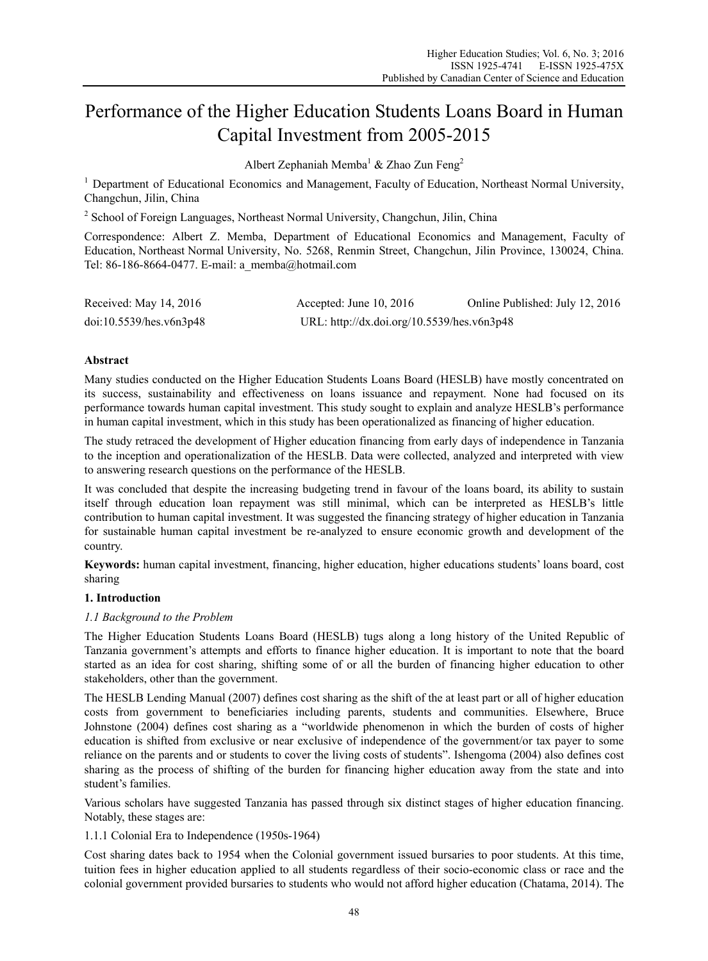# Performance of the Higher Education Students Loans Board in Human Capital Investment from 2005-2015

Albert Zephaniah Memba<sup>1</sup> & Zhao Zun Feng<sup>2</sup>

<sup>1</sup> Department of Educational Economics and Management, Faculty of Education, Northeast Normal University, Changchun, Jilin, China

<sup>2</sup> School of Foreign Languages, Northeast Normal University, Changchun, Jilin, China

Correspondence: Albert Z. Memba, Department of Educational Economics and Management, Faculty of Education, Northeast Normal University, No. 5268, Renmin Street, Changchun, Jilin Province, 130024, China. Tel: 86-186-8664-0477. E-mail: a\_memba@hotmail.com

| Received: May 14, 2016  | Accepted: June 10, $2016$                  | Online Published: July 12, 2016 |
|-------------------------|--------------------------------------------|---------------------------------|
| doi:10.5539/hes.v6n3p48 | URL: http://dx.doi.org/10.5539/hes.v6n3p48 |                                 |

## **Abstract**

Many studies conducted on the Higher Education Students Loans Board (HESLB) have mostly concentrated on its success, sustainability and effectiveness on loans issuance and repayment. None had focused on its performance towards human capital investment. This study sought to explain and analyze HESLB's performance in human capital investment, which in this study has been operationalized as financing of higher education.

The study retraced the development of Higher education financing from early days of independence in Tanzania to the inception and operationalization of the HESLB. Data were collected, analyzed and interpreted with view to answering research questions on the performance of the HESLB.

It was concluded that despite the increasing budgeting trend in favour of the loans board, its ability to sustain itself through education loan repayment was still minimal, which can be interpreted as HESLB's little contribution to human capital investment. It was suggested the financing strategy of higher education in Tanzania for sustainable human capital investment be re-analyzed to ensure economic growth and development of the country.

**Keywords:** human capital investment, financing, higher education, higher educations students' loans board, cost sharing

## **1. Introduction**

### *1.1 Background to the Problem*

The Higher Education Students Loans Board (HESLB) tugs along a long history of the United Republic of Tanzania government's attempts and efforts to finance higher education. It is important to note that the board started as an idea for cost sharing, shifting some of or all the burden of financing higher education to other stakeholders, other than the government.

The HESLB Lending Manual (2007) defines cost sharing as the shift of the at least part or all of higher education costs from government to beneficiaries including parents, students and communities. Elsewhere, Bruce Johnstone (2004) defines cost sharing as a "worldwide phenomenon in which the burden of costs of higher education is shifted from exclusive or near exclusive of independence of the government/or tax payer to some reliance on the parents and or students to cover the living costs of students". Ishengoma (2004) also defines cost sharing as the process of shifting of the burden for financing higher education away from the state and into student's families.

Various scholars have suggested Tanzania has passed through six distinct stages of higher education financing. Notably, these stages are:

## 1.1.1 Colonial Era to Independence (1950s-1964)

Cost sharing dates back to 1954 when the Colonial government issued bursaries to poor students. At this time, tuition fees in higher education applied to all students regardless of their socio-economic class or race and the colonial government provided bursaries to students who would not afford higher education (Chatama, 2014). The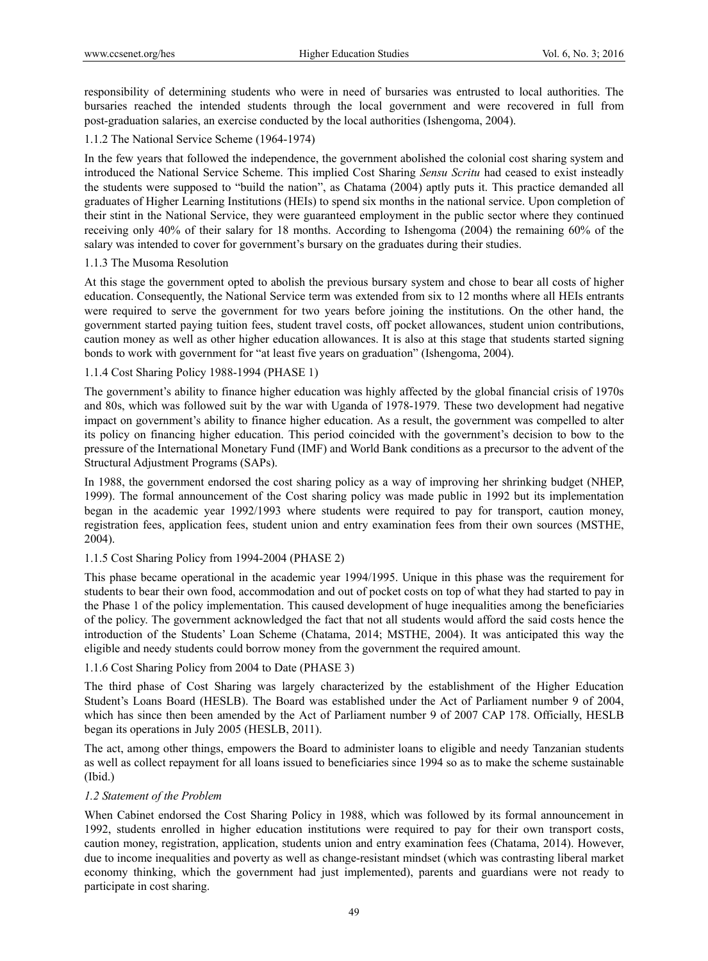responsibility of determining students who were in need of bursaries was entrusted to local authorities. The bursaries reached the intended students through the local government and were recovered in full from post-graduation salaries, an exercise conducted by the local authorities (Ishengoma, 2004).

## 1.1.2 The National Service Scheme (1964-1974)

In the few years that followed the independence, the government abolished the colonial cost sharing system and introduced the National Service Scheme. This implied Cost Sharing *Sensu Scritu* had ceased to exist insteadly the students were supposed to "build the nation", as Chatama (2004) aptly puts it. This practice demanded all graduates of Higher Learning Institutions (HEIs) to spend six months in the national service. Upon completion of their stint in the National Service, they were guaranteed employment in the public sector where they continued receiving only 40% of their salary for 18 months. According to Ishengoma (2004) the remaining 60% of the salary was intended to cover for government's bursary on the graduates during their studies.

## 1.1.3 The Musoma Resolution

At this stage the government opted to abolish the previous bursary system and chose to bear all costs of higher education. Consequently, the National Service term was extended from six to 12 months where all HEIs entrants were required to serve the government for two years before joining the institutions. On the other hand, the government started paying tuition fees, student travel costs, off pocket allowances, student union contributions, caution money as well as other higher education allowances. It is also at this stage that students started signing bonds to work with government for "at least five years on graduation" (Ishengoma, 2004).

## 1.1.4 Cost Sharing Policy 1988-1994 (PHASE 1)

The government's ability to finance higher education was highly affected by the global financial crisis of 1970s and 80s, which was followed suit by the war with Uganda of 1978-1979. These two development had negative impact on government's ability to finance higher education. As a result, the government was compelled to alter its policy on financing higher education. This period coincided with the government's decision to bow to the pressure of the International Monetary Fund (IMF) and World Bank conditions as a precursor to the advent of the Structural Adjustment Programs (SAPs).

In 1988, the government endorsed the cost sharing policy as a way of improving her shrinking budget (NHEP, 1999). The formal announcement of the Cost sharing policy was made public in 1992 but its implementation began in the academic year 1992/1993 where students were required to pay for transport, caution money, registration fees, application fees, student union and entry examination fees from their own sources (MSTHE, 2004).

### 1.1.5 Cost Sharing Policy from 1994-2004 (PHASE 2)

This phase became operational in the academic year 1994/1995. Unique in this phase was the requirement for students to bear their own food, accommodation and out of pocket costs on top of what they had started to pay in the Phase 1 of the policy implementation. This caused development of huge inequalities among the beneficiaries of the policy. The government acknowledged the fact that not all students would afford the said costs hence the introduction of the Students' Loan Scheme (Chatama, 2014; MSTHE, 2004). It was anticipated this way the eligible and needy students could borrow money from the government the required amount.

### 1.1.6 Cost Sharing Policy from 2004 to Date (PHASE 3)

The third phase of Cost Sharing was largely characterized by the establishment of the Higher Education Student's Loans Board (HESLB). The Board was established under the Act of Parliament number 9 of 2004, which has since then been amended by the Act of Parliament number 9 of 2007 CAP 178. Officially, HESLB began its operations in July 2005 (HESLB, 2011).

The act, among other things, empowers the Board to administer loans to eligible and needy Tanzanian students as well as collect repayment for all loans issued to beneficiaries since 1994 so as to make the scheme sustainable (Ibid.)

### *1.2 Statement of the Problem*

When Cabinet endorsed the Cost Sharing Policy in 1988, which was followed by its formal announcement in 1992, students enrolled in higher education institutions were required to pay for their own transport costs, caution money, registration, application, students union and entry examination fees (Chatama, 2014). However, due to income inequalities and poverty as well as change-resistant mindset (which was contrasting liberal market economy thinking, which the government had just implemented), parents and guardians were not ready to participate in cost sharing.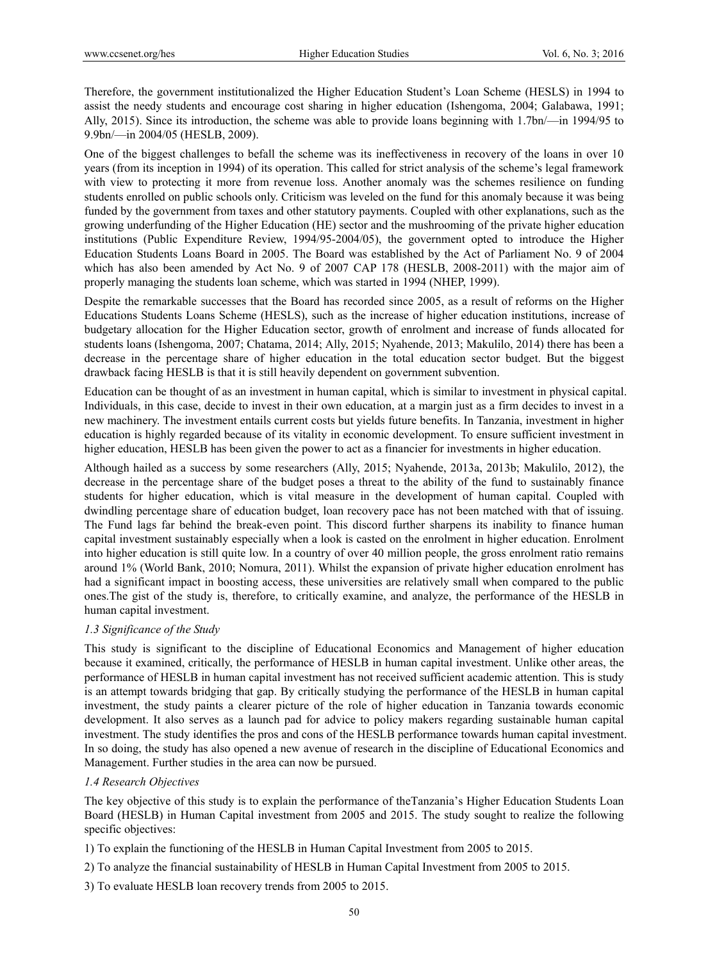Therefore, the government institutionalized the Higher Education Student's Loan Scheme (HESLS) in 1994 to assist the needy students and encourage cost sharing in higher education (Ishengoma, 2004; Galabawa, 1991; Ally, 2015). Since its introduction, the scheme was able to provide loans beginning with 1.7bn/—in 1994/95 to 9.9bn/—in 2004/05 (HESLB, 2009).

One of the biggest challenges to befall the scheme was its ineffectiveness in recovery of the loans in over 10 years (from its inception in 1994) of its operation. This called for strict analysis of the scheme's legal framework with view to protecting it more from revenue loss. Another anomaly was the schemes resilience on funding students enrolled on public schools only. Criticism was leveled on the fund for this anomaly because it was being funded by the government from taxes and other statutory payments. Coupled with other explanations, such as the growing underfunding of the Higher Education (HE) sector and the mushrooming of the private higher education institutions (Public Expenditure Review, 1994/95-2004/05), the government opted to introduce the Higher Education Students Loans Board in 2005. The Board was established by the Act of Parliament No. 9 of 2004 which has also been amended by Act No. 9 of 2007 CAP 178 (HESLB, 2008-2011) with the major aim of properly managing the students loan scheme, which was started in 1994 (NHEP, 1999).

Despite the remarkable successes that the Board has recorded since 2005, as a result of reforms on the Higher Educations Students Loans Scheme (HESLS), such as the increase of higher education institutions, increase of budgetary allocation for the Higher Education sector, growth of enrolment and increase of funds allocated for students loans (Ishengoma, 2007; Chatama, 2014; Ally, 2015; Nyahende, 2013; Makulilo, 2014) there has been a decrease in the percentage share of higher education in the total education sector budget. But the biggest drawback facing HESLB is that it is still heavily dependent on government subvention.

Education can be thought of as an investment in human capital, which is similar to investment in physical capital. Individuals, in this case, decide to invest in their own education, at a margin just as a firm decides to invest in a new machinery. The investment entails current costs but yields future benefits. In Tanzania, investment in higher education is highly regarded because of its vitality in economic development. To ensure sufficient investment in higher education, HESLB has been given the power to act as a financier for investments in higher education.

Although hailed as a success by some researchers (Ally, 2015; Nyahende, 2013a, 2013b; Makulilo, 2012), the decrease in the percentage share of the budget poses a threat to the ability of the fund to sustainably finance students for higher education, which is vital measure in the development of human capital. Coupled with dwindling percentage share of education budget, loan recovery pace has not been matched with that of issuing. The Fund lags far behind the break-even point. This discord further sharpens its inability to finance human capital investment sustainably especially when a look is casted on the enrolment in higher education. Enrolment into higher education is still quite low. In a country of over 40 million people, the gross enrolment ratio remains around 1% (World Bank, 2010; Nomura, 2011). Whilst the expansion of private higher education enrolment has had a significant impact in boosting access, these universities are relatively small when compared to the public ones.The gist of the study is, therefore, to critically examine, and analyze, the performance of the HESLB in human capital investment.

## *1.3 Significance of the Study*

This study is significant to the discipline of Educational Economics and Management of higher education because it examined, critically, the performance of HESLB in human capital investment. Unlike other areas, the performance of HESLB in human capital investment has not received sufficient academic attention. This is study is an attempt towards bridging that gap. By critically studying the performance of the HESLB in human capital investment, the study paints a clearer picture of the role of higher education in Tanzania towards economic development. It also serves as a launch pad for advice to policy makers regarding sustainable human capital investment. The study identifies the pros and cons of the HESLB performance towards human capital investment. In so doing, the study has also opened a new avenue of research in the discipline of Educational Economics and Management. Further studies in the area can now be pursued.

## *1.4 Research Objectives*

The key objective of this study is to explain the performance of theTanzania's Higher Education Students Loan Board (HESLB) in Human Capital investment from 2005 and 2015. The study sought to realize the following specific objectives:

1) To explain the functioning of the HESLB in Human Capital Investment from 2005 to 2015.

2) To analyze the financial sustainability of HESLB in Human Capital Investment from 2005 to 2015.

3) To evaluate HESLB loan recovery trends from 2005 to 2015.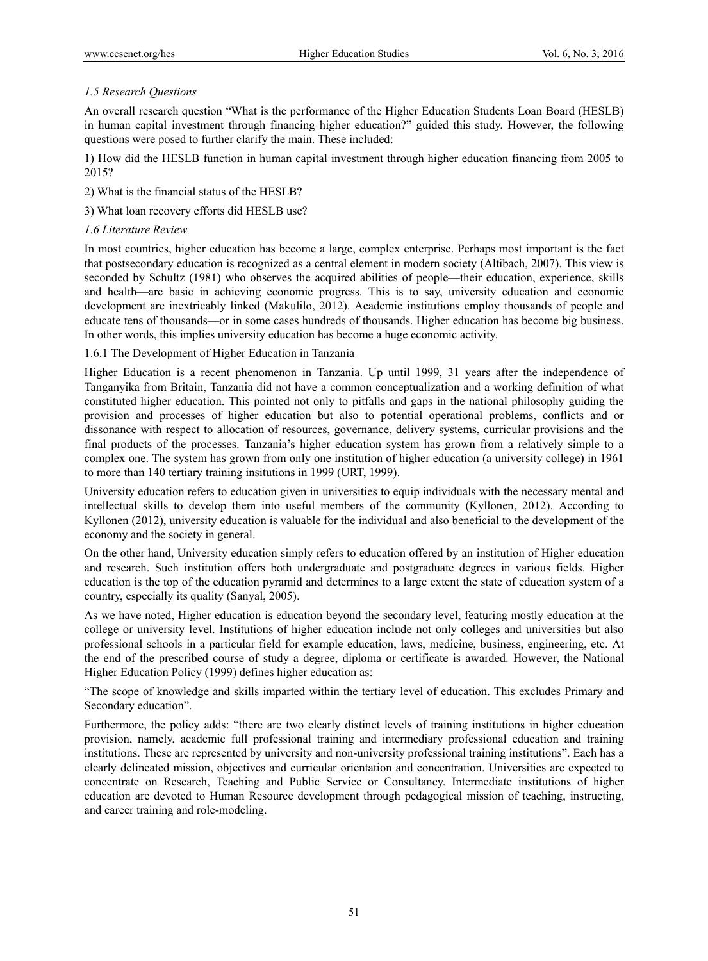## *1.5 Research Questions*

An overall research question "What is the performance of the Higher Education Students Loan Board (HESLB) in human capital investment through financing higher education?" guided this study. However, the following questions were posed to further clarify the main. These included:

1) How did the HESLB function in human capital investment through higher education financing from 2005 to 2015?

- 2) What is the financial status of the HESLB?
- 3) What loan recovery efforts did HESLB use?

## *1.6 Literature Review*

In most countries, higher education has become a large, complex enterprise. Perhaps most important is the fact that postsecondary education is recognized as a central element in modern society (Altibach, 2007). This view is seconded by Schultz (1981) who observes the acquired abilities of people—their education, experience, skills and health—are basic in achieving economic progress. This is to say, university education and economic development are inextricably linked (Makulilo, 2012). Academic institutions employ thousands of people and educate tens of thousands—or in some cases hundreds of thousands. Higher education has become big business. In other words, this implies university education has become a huge economic activity.

1.6.1 The Development of Higher Education in Tanzania

Higher Education is a recent phenomenon in Tanzania. Up until 1999, 31 years after the independence of Tanganyika from Britain, Tanzania did not have a common conceptualization and a working definition of what constituted higher education. This pointed not only to pitfalls and gaps in the national philosophy guiding the provision and processes of higher education but also to potential operational problems, conflicts and or dissonance with respect to allocation of resources, governance, delivery systems, curricular provisions and the final products of the processes. Tanzania's higher education system has grown from a relatively simple to a complex one. The system has grown from only one institution of higher education (a university college) in 1961 to more than 140 tertiary training insitutions in 1999 (URT, 1999).

University education refers to education given in universities to equip individuals with the necessary mental and intellectual skills to develop them into useful members of the community (Kyllonen, 2012). According to Kyllonen (2012), university education is valuable for the individual and also beneficial to the development of the economy and the society in general.

On the other hand, University education simply refers to education offered by an institution of Higher education and research. Such institution offers both undergraduate and postgraduate degrees in various fields. Higher education is the top of the education pyramid and determines to a large extent the state of education system of a country, especially its quality (Sanyal, 2005).

As we have noted, Higher education is education beyond the secondary level, featuring mostly education at the college or university level. Institutions of higher education include not only colleges and universities but also professional schools in a particular field for example education, laws, medicine, business, engineering, etc. At the end of the prescribed course of study a degree, diploma or certificate is awarded. However, the National Higher Education Policy (1999) defines higher education as:

"The scope of knowledge and skills imparted within the tertiary level of education. This excludes Primary and Secondary education".

Furthermore, the policy adds: "there are two clearly distinct levels of training institutions in higher education provision, namely, academic full professional training and intermediary professional education and training institutions. These are represented by university and non-university professional training institutions". Each has a clearly delineated mission, objectives and curricular orientation and concentration. Universities are expected to concentrate on Research, Teaching and Public Service or Consultancy. Intermediate institutions of higher education are devoted to Human Resource development through pedagogical mission of teaching, instructing, and career training and role-modeling.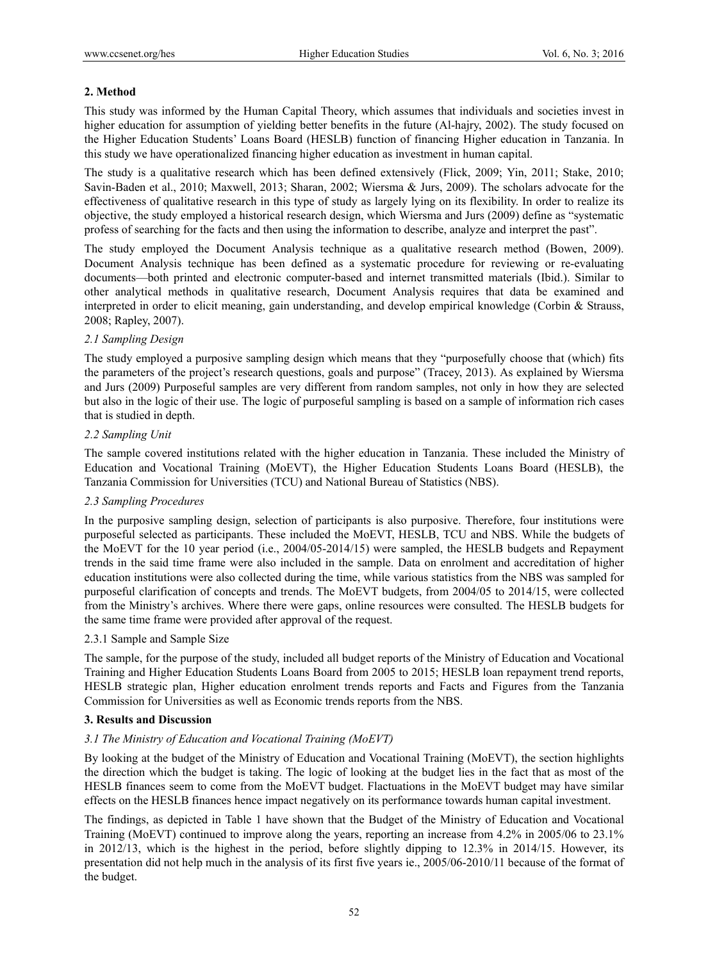## **2. Method**

This study was informed by the Human Capital Theory, which assumes that individuals and societies invest in higher education for assumption of yielding better benefits in the future (Al-hajry, 2002). The study focused on the Higher Education Students' Loans Board (HESLB) function of financing Higher education in Tanzania. In this study we have operationalized financing higher education as investment in human capital.

The study is a qualitative research which has been defined extensively (Flick, 2009; Yin, 2011; Stake, 2010; Savin-Baden et al., 2010; Maxwell, 2013; Sharan, 2002; Wiersma & Jurs, 2009). The scholars advocate for the effectiveness of qualitative research in this type of study as largely lying on its flexibility. In order to realize its objective, the study employed a historical research design, which Wiersma and Jurs (2009) define as "systematic profess of searching for the facts and then using the information to describe, analyze and interpret the past".

The study employed the Document Analysis technique as a qualitative research method (Bowen, 2009). Document Analysis technique has been defined as a systematic procedure for reviewing or re-evaluating documents—both printed and electronic computer-based and internet transmitted materials (Ibid.). Similar to other analytical methods in qualitative research, Document Analysis requires that data be examined and interpreted in order to elicit meaning, gain understanding, and develop empirical knowledge (Corbin & Strauss, 2008; Rapley, 2007).

## *2.1 Sampling Design*

The study employed a purposive sampling design which means that they "purposefully choose that (which) fits the parameters of the project's research questions, goals and purpose" (Tracey, 2013). As explained by Wiersma and Jurs (2009) Purposeful samples are very different from random samples, not only in how they are selected but also in the logic of their use. The logic of purposeful sampling is based on a sample of information rich cases that is studied in depth.

### *2.2 Sampling Unit*

The sample covered institutions related with the higher education in Tanzania. These included the Ministry of Education and Vocational Training (MoEVT), the Higher Education Students Loans Board (HESLB), the Tanzania Commission for Universities (TCU) and National Bureau of Statistics (NBS).

### *2.3 Sampling Procedures*

In the purposive sampling design, selection of participants is also purposive. Therefore, four institutions were purposeful selected as participants. These included the MoEVT, HESLB, TCU and NBS. While the budgets of the MoEVT for the 10 year period (i.e., 2004/05-2014/15) were sampled, the HESLB budgets and Repayment trends in the said time frame were also included in the sample. Data on enrolment and accreditation of higher education institutions were also collected during the time, while various statistics from the NBS was sampled for purposeful clarification of concepts and trends. The MoEVT budgets, from 2004/05 to 2014/15, were collected from the Ministry's archives. Where there were gaps, online resources were consulted. The HESLB budgets for the same time frame were provided after approval of the request.

### 2.3.1 Sample and Sample Size

The sample, for the purpose of the study, included all budget reports of the Ministry of Education and Vocational Training and Higher Education Students Loans Board from 2005 to 2015; HESLB loan repayment trend reports, HESLB strategic plan, Higher education enrolment trends reports and Facts and Figures from the Tanzania Commission for Universities as well as Economic trends reports from the NBS.

### **3. Results and Discussion**

### *3.1 The Ministry of Education and Vocational Training (MoEVT)*

By looking at the budget of the Ministry of Education and Vocational Training (MoEVT), the section highlights the direction which the budget is taking. The logic of looking at the budget lies in the fact that as most of the HESLB finances seem to come from the MoEVT budget. Flactuations in the MoEVT budget may have similar effects on the HESLB finances hence impact negatively on its performance towards human capital investment.

The findings, as depicted in Table 1 have shown that the Budget of the Ministry of Education and Vocational Training (MoEVT) continued to improve along the years, reporting an increase from 4.2% in 2005/06 to 23.1% in 2012/13, which is the highest in the period, before slightly dipping to 12.3% in 2014/15. However, its presentation did not help much in the analysis of its first five years ie., 2005/06-2010/11 because of the format of the budget.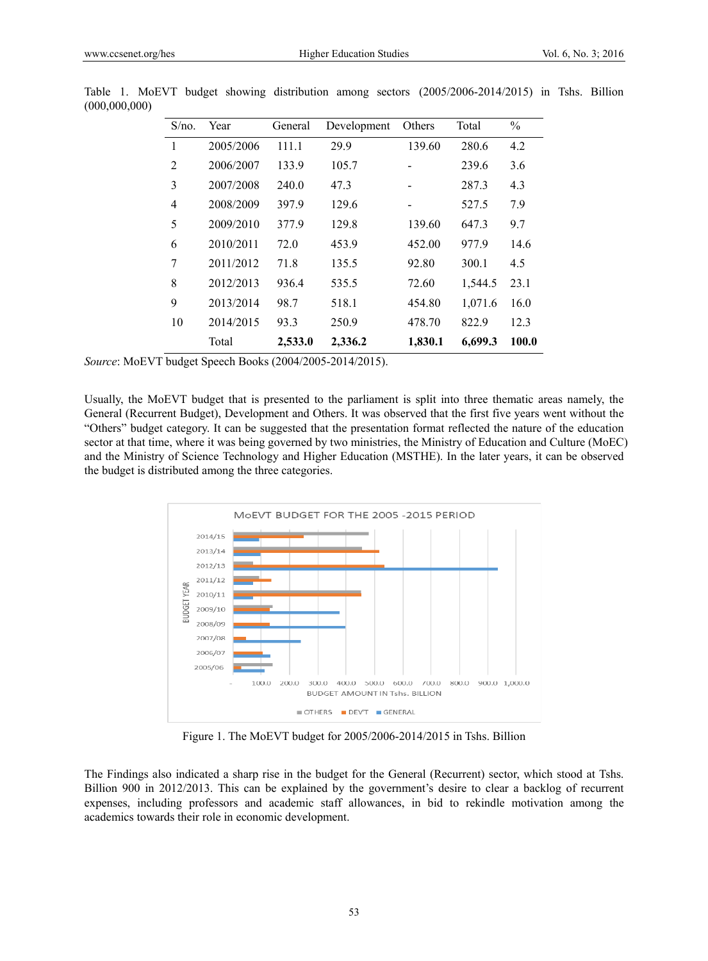| $S/no$ .       | Year      | General | Development | Others  | Total   | $\frac{0}{0}$ |
|----------------|-----------|---------|-------------|---------|---------|---------------|
| 1              | 2005/2006 | 111.1   | 29.9        | 139.60  | 280.6   | 4.2           |
| $\overline{2}$ | 2006/2007 | 133.9   | 105.7       |         | 239.6   | 3.6           |
| 3              | 2007/2008 | 240.0   | 47.3        |         | 287.3   | 4.3           |
| 4              | 2008/2009 | 397.9   | 129.6       |         | 527.5   | 7.9           |
| 5              | 2009/2010 | 377.9   | 129.8       | 139.60  | 647.3   | 9.7           |
| 6              | 2010/2011 | 72.0    | 453.9       | 452.00  | 977.9   | 14.6          |
| 7              | 2011/2012 | 71.8    | 135.5       | 92.80   | 300.1   | 4.5           |
| 8              | 2012/2013 | 936.4   | 535.5       | 72.60   | 1,544.5 | 23.1          |
| 9              | 2013/2014 | 98.7    | 518.1       | 454.80  | 1,071.6 | 16.0          |
| 10             | 2014/2015 | 93.3    | 250.9       | 478.70  | 822.9   | 12.3          |
|                | Total     | 2,533.0 | 2,336.2     | 1,830.1 | 6,699.3 | 100.0         |

Table 1. MoEVT budget showing distribution among sectors (2005/2006-2014/2015) in Tshs. Billion (000,000,000)

*Source*: MoEVT budget Speech Books (2004/2005-2014/2015).

Usually, the MoEVT budget that is presented to the parliament is split into three thematic areas namely, the General (Recurrent Budget), Development and Others. It was observed that the first five years went without the "Others" budget category. It can be suggested that the presentation format reflected the nature of the education sector at that time, where it was being governed by two ministries, the Ministry of Education and Culture (MoEC) and the Ministry of Science Technology and Higher Education (MSTHE). In the later years, it can be observed the budget is distributed among the three categories.



Figure 1. The MoEVT budget for 2005/2006-2014/2015 in Tshs. Billion

The Findings also indicated a sharp rise in the budget for the General (Recurrent) sector, which stood at Tshs. Billion 900 in 2012/2013. This can be explained by the government's desire to clear a backlog of recurrent expenses, including professors and academic staff allowances, in bid to rekindle motivation among the academics towards their role in economic development.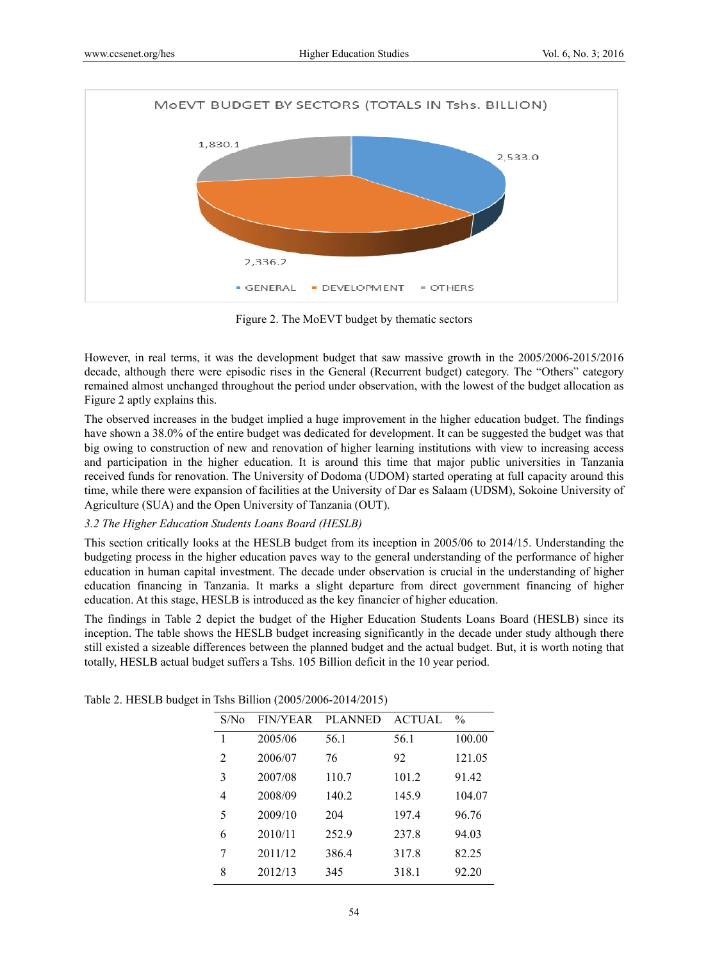

Figure 2. The MoEVT budget by thematic sectors

However, in real terms, it was the development budget that saw massive growth in the 2005/2006-2015/2016 decade, although there were episodic rises in the General (Recurrent budget) category. The "Others" category remained almost unchanged throughout the period under observation, with the lowest of the budget allocation as Figure 2 aptly explains this.

The observed increases in the budget implied a huge improvement in the higher education budget. The findings have shown a 38.0% of the entire budget was dedicated for development. It can be suggested the budget was that big owing to construction of new and renovation of higher learning institutions with view to increasing access and participation in the higher education. It is around this time that major public universities in Tanzania received funds for renovation. The University of Dodoma (UDOM) started operating at full capacity around this time, while there were expansion of facilities at the University of Dar es Salaam (UDSM), Sokoine University of Agriculture (SUA) and the Open University of Tanzania (OUT).

## *3.2 The Higher Education Students Loans Board (HESLB)*

This section critically looks at the HESLB budget from its inception in 2005/06 to 2014/15. Understanding the budgeting process in the higher education paves way to the general understanding of the performance of higher education in human capital investment. The decade under observation is crucial in the understanding of higher education financing in Tanzania. It marks a slight departure from direct government financing of higher education. At this stage, HESLB is introduced as the key financier of higher education.

The findings in Table 2 depict the budget of the Higher Education Students Loans Board (HESLB) since its inception. The table shows the HESLB budget increasing significantly in the decade under study although there still existed a sizeable differences between the planned budget and the actual budget. But, it is worth noting that totally, HESLB actual budget suffers a Tshs. 105 Billion deficit in the 10 year period.

| S/N <sub>0</sub> | <b>FIN/YEAR</b> | <b>PLANNED</b> | <b>ACTUAL</b> | $\frac{0}{0}$ |
|------------------|-----------------|----------------|---------------|---------------|
| 1                | 2005/06         | 56.1           | 56.1          | 100.00        |
| 2                | 2006/07         | 76             | 92            | 121.05        |
| 3                | 2007/08         | 110.7          | 101.2         | 91.42         |
| 4                | 2008/09         | 140.2          | 145.9         | 104.07        |
| 5                | 2009/10         | 204            | 197.4         | 96.76         |
| 6                | 2010/11         | 252.9          | 237.8         | 94.03         |
| 7                | 2011/12         | 386.4          | 317.8         | 82.25         |
| 8                | 2012/13         | 345            | 318.1         | 92.20         |

| Table 2. HESLB budget in Tshs Billion (2005/2006-2014/2015) |  |  |  |  |
|-------------------------------------------------------------|--|--|--|--|
|-------------------------------------------------------------|--|--|--|--|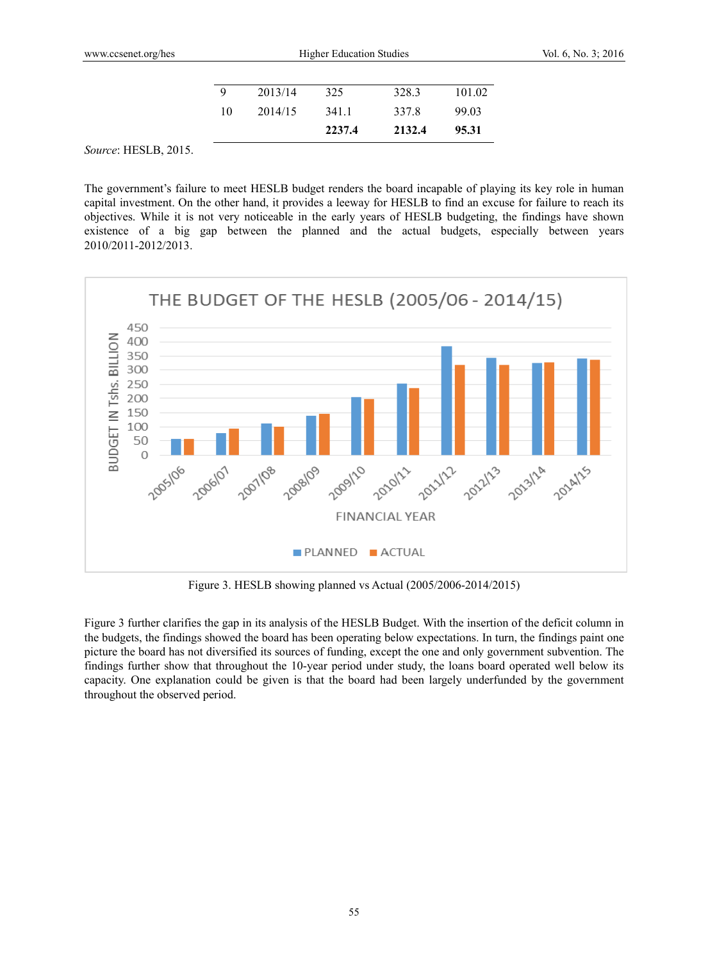| 9  | 2013/14 | 325    | 328.3  | 101.02 |
|----|---------|--------|--------|--------|
| 10 | 2014/15 | 341.1  | 337.8  | 99.03  |
|    |         | 2237.4 | 2132.4 | 95.31  |

*Source*: HESLB, 2015.

The government's failure to meet HESLB budget renders the board incapable of playing its key role in human capital investment. On the other hand, it provides a leeway for HESLB to find an excuse for failure to reach its objectives. While it is not very noticeable in the early years of HESLB budgeting, the findings have shown existence of a big gap between the planned and the actual budgets, especially between years 2010/2011-2012/2013.



Figure 3. HESLB showing planned vs Actual (2005/2006-2014/2015)

Figure 3 further clarifies the gap in its analysis of the HESLB Budget. With the insertion of the deficit column in the budgets, the findings showed the board has been operating below expectations. In turn, the findings paint one picture the board has not diversified its sources of funding, except the one and only government subvention. The findings further show that throughout the 10-year period under study, the loans board operated well below its capacity. One explanation could be given is that the board had been largely underfunded by the government throughout the observed period.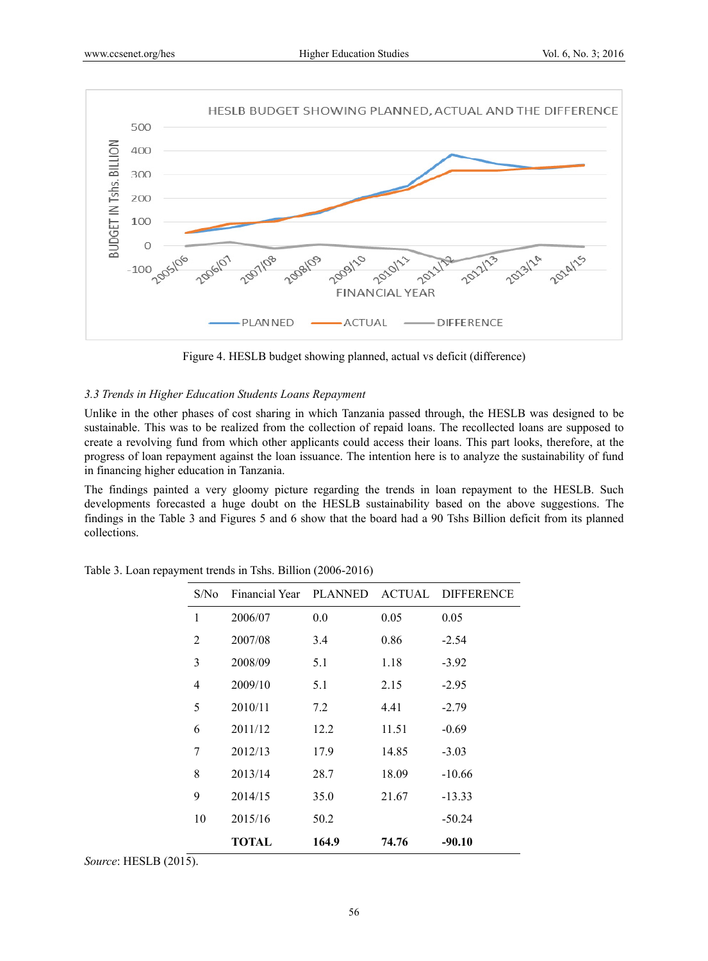

Figure 4. HESLB budget showing planned, actual vs deficit (difference)

### *3.3 Trends in Higher Education Students Loans Repayment*

Unlike in the other phases of cost sharing in which Tanzania passed through, the HESLB was designed to be sustainable. This was to be realized from the collection of repaid loans. The recollected loans are supposed to create a revolving fund from which other applicants could access their loans. This part looks, therefore, at the progress of loan repayment against the loan issuance. The intention here is to analyze the sustainability of fund in financing higher education in Tanzania.

The findings painted a very gloomy picture regarding the trends in loan repayment to the HESLB. Such developments forecasted a huge doubt on the HESLB sustainability based on the above suggestions. The findings in the Table 3 and Figures 5 and 6 show that the board had a 90 Tshs Billion deficit from its planned collections.

| S/No | Financial Year | <b>PLANNED</b> |       | ACTUAL DIFFERENCE |
|------|----------------|----------------|-------|-------------------|
| 1    | 2006/07        | 0.0            | 0.05  | 0.05              |
| 2    | 2007/08        | 3.4            | 0.86  | $-2.54$           |
| 3    | 2008/09        | 5.1            | 1.18  | $-3.92$           |
| 4    | 2009/10        | 5.1            | 2.15  | $-2.95$           |
| 5    | 2010/11        | 7.2            | 4.41  | $-2.79$           |
| 6    | 2011/12        | 12.2           | 11.51 | $-0.69$           |
| 7    | 2012/13        | 17.9           | 14.85 | $-3.03$           |
| 8    | 2013/14        | 28.7           | 18.09 | $-10.66$          |
| 9    | 2014/15        | 35.0           | 21.67 | $-13.33$          |
| 10   | 2015/16        | 50.2           |       | $-50.24$          |
|      | TOTAL          | 164.9          | 74.76 | $-90.10$          |

Table 3. Loan repayment trends in Tshs. Billion (2006-2016)

*Source*: HESLB (2015).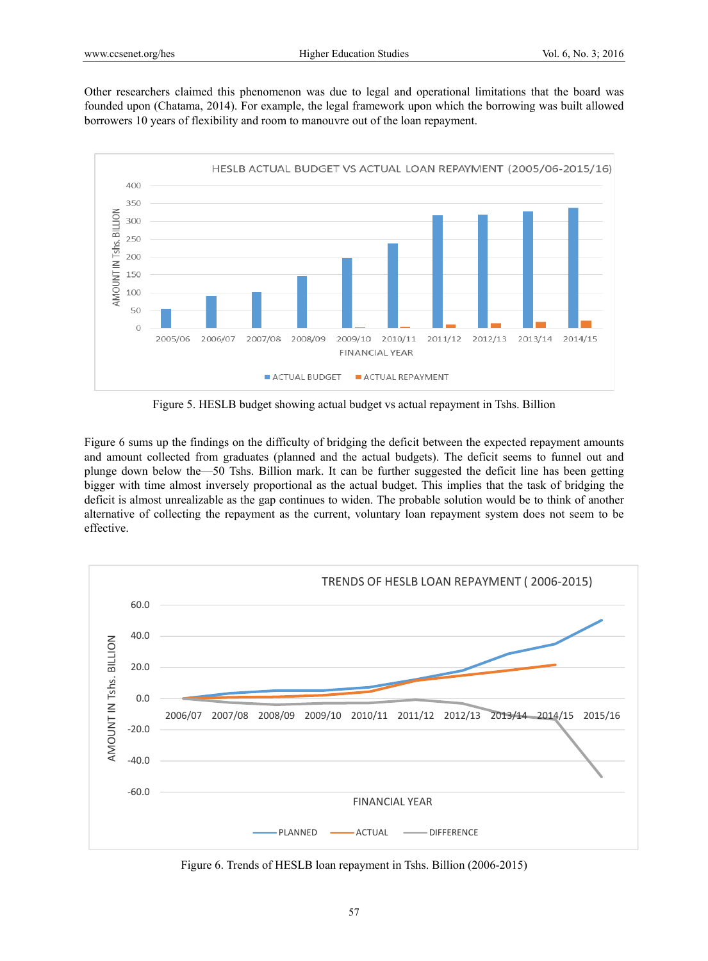Other researchers claimed this phenomenon was due to legal and operational limitations that the board was founded upon (Chatama, 2014). For example, the legal framework upon which the borrowing was built allowed borrowers 10 years of flexibility and room to manouvre out of the loan repayment.



Figure 5. HESLB budget showing actual budget vs actual repayment in Tshs. Billion

Figure 6 sums up the findings on the difficulty of bridging the deficit between the expected repayment amounts and amount collected from graduates (planned and the actual budgets). The deficit seems to funnel out and plunge down below the—50 Tshs. Billion mark. It can be further suggested the deficit line has been getting bigger with time almost inversely proportional as the actual budget. This implies that the task of bridging the deficit is almost unrealizable as the gap continues to widen. The probable solution would be to think of another alternative of collecting the repayment as the current, voluntary loan repayment system does not seem to be effective.



Figure 6. Trends of HESLB loan repayment in Tshs. Billion (2006-2015)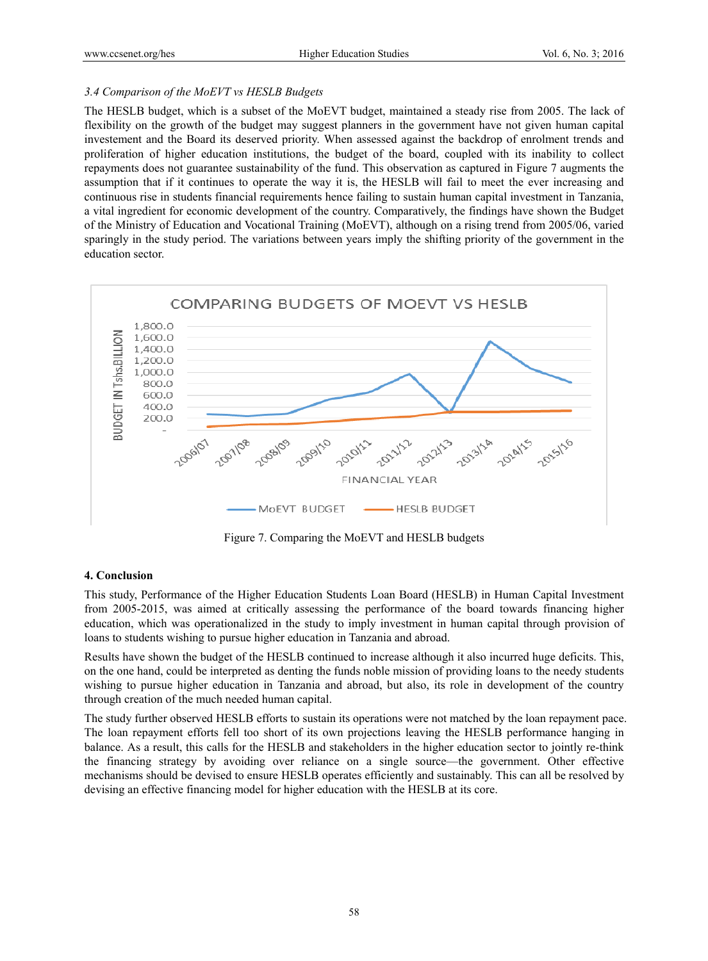#### *3.4 Comparison of the MoEVT vs HESLB Budgets*

The HESLB budget, which is a subset of the MoEVT budget, maintained a steady rise from 2005. The lack of flexibility on the growth of the budget may suggest planners in the government have not given human capital investement and the Board its deserved priority. When assessed against the backdrop of enrolment trends and proliferation of higher education institutions, the budget of the board, coupled with its inability to collect repayments does not guarantee sustainability of the fund. This observation as captured in Figure 7 augments the assumption that if it continues to operate the way it is, the HESLB will fail to meet the ever increasing and continuous rise in students financial requirements hence failing to sustain human capital investment in Tanzania, a vital ingredient for economic development of the country. Comparatively, the findings have shown the Budget of the Ministry of Education and Vocational Training (MoEVT), although on a rising trend from 2005/06, varied sparingly in the study period. The variations between years imply the shifting priority of the government in the education sector.



Figure 7. Comparing the MoEVT and HESLB budgets

#### **4. Conclusion**

This study, Performance of the Higher Education Students Loan Board (HESLB) in Human Capital Investment from 2005-2015, was aimed at critically assessing the performance of the board towards financing higher education, which was operationalized in the study to imply investment in human capital through provision of loans to students wishing to pursue higher education in Tanzania and abroad.

Results have shown the budget of the HESLB continued to increase although it also incurred huge deficits. This, on the one hand, could be interpreted as denting the funds noble mission of providing loans to the needy students wishing to pursue higher education in Tanzania and abroad, but also, its role in development of the country through creation of the much needed human capital.

The study further observed HESLB efforts to sustain its operations were not matched by the loan repayment pace. The loan repayment efforts fell too short of its own projections leaving the HESLB performance hanging in balance. As a result, this calls for the HESLB and stakeholders in the higher education sector to jointly re-think the financing strategy by avoiding over reliance on a single source—the government. Other effective mechanisms should be devised to ensure HESLB operates efficiently and sustainably. This can all be resolved by devising an effective financing model for higher education with the HESLB at its core.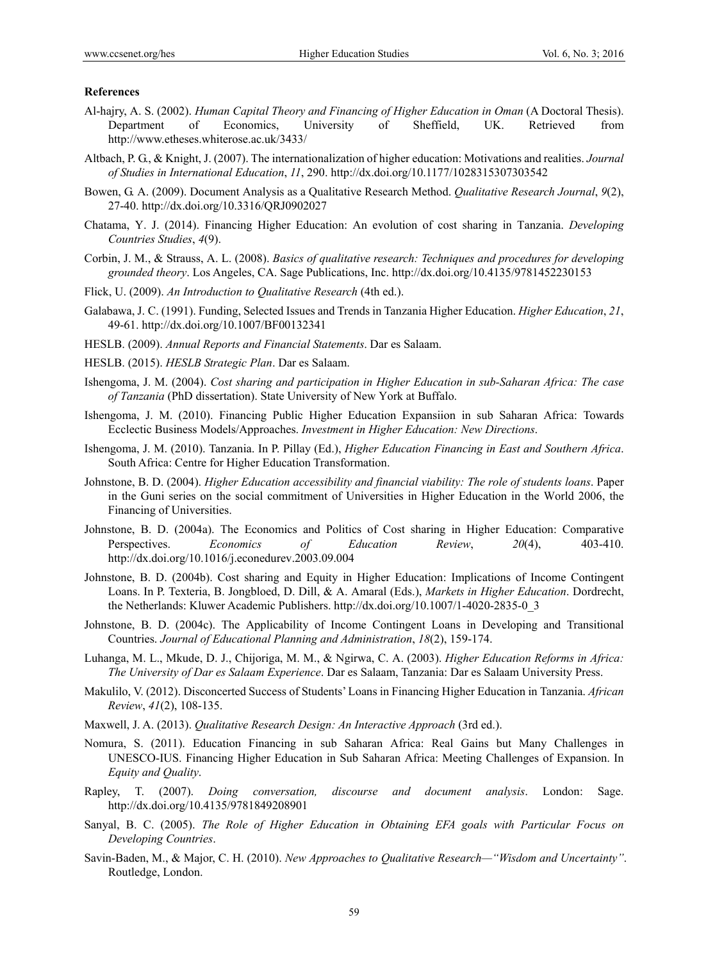#### **References**

- Al-hajry, A. S. (2002). *Human Capital Theory and Financing of Higher Education in Oman* (A Doctoral Thesis). Department of Economics, University of Sheffield, UK. Retrieved from http://www.etheses.whiterose.ac.uk/3433/
- Altbach, P. G., & Knight, J. (2007). The internationalization of higher education: Motivations and realities. *Journal of Studies in International Education*, *11*, 290. http://dx.doi.org/10.1177/1028315307303542
- Bowen, G. A. (2009). Document Analysis as a Qualitative Research Method. *Qualitative Research Journal*, *9*(2), 27-40. http://dx.doi.org/10.3316/QRJ0902027
- Chatama, Y. J. (2014). Financing Higher Education: An evolution of cost sharing in Tanzania. *Developing Countries Studies*, *4*(9).
- Corbin, J. M., & Strauss, A. L. (2008). *Basics of qualitative research: Techniques and procedures for developing grounded theory*. Los Angeles, CA. Sage Publications, Inc. http://dx.doi.org/10.4135/9781452230153
- Flick, U. (2009). *An Introduction to Qualitative Research* (4th ed.).
- Galabawa, J. C. (1991). Funding, Selected Issues and Trends in Tanzania Higher Education. *Higher Education*, *21*, 49-61. http://dx.doi.org/10.1007/BF00132341
- HESLB. (2009). *Annual Reports and Financial Statements*. Dar es Salaam.
- HESLB. (2015). *HESLB Strategic Plan*. Dar es Salaam.
- Ishengoma, J. M. (2004). *Cost sharing and participation in Higher Education in sub-Saharan Africa: The case of Tanzania* (PhD dissertation). State University of New York at Buffalo.
- Ishengoma, J. M. (2010). Financing Public Higher Education Expansiion in sub Saharan Africa: Towards Ecclectic Business Models/Approaches. *Investment in Higher Education: New Directions*.
- Ishengoma, J. M. (2010). Tanzania. In P. Pillay (Ed.), *Higher Education Financing in East and Southern Africa*. South Africa: Centre for Higher Education Transformation.
- Johnstone, B. D. (2004). *Higher Education accessibility and financial viability: The role of students loans*. Paper in the Guni series on the social commitment of Universities in Higher Education in the World 2006, the Financing of Universities.
- Johnstone, B. D. (2004a). The Economics and Politics of Cost sharing in Higher Education: Comparative Perspectives. *Economics of Education Review*, *20*(4), 403-410. http://dx.doi.org/10.1016/j.econedurev.2003.09.004
- Johnstone, B. D. (2004b). Cost sharing and Equity in Higher Education: Implications of Income Contingent Loans. In P. Texteria, B. Jongbloed, D. Dill, & A. Amaral (Eds.), *Markets in Higher Education*. Dordrecht, the Netherlands: Kluwer Academic Publishers. http://dx.doi.org/10.1007/1-4020-2835-0\_3
- Johnstone, B. D. (2004c). The Applicability of Income Contingent Loans in Developing and Transitional Countries. *Journal of Educational Planning and Administration*, *18*(2), 159-174.
- Luhanga, M. L., Mkude, D. J., Chijoriga, M. M., & Ngirwa, C. A. (2003). *Higher Education Reforms in Africa: The University of Dar es Salaam Experience*. Dar es Salaam, Tanzania: Dar es Salaam University Press.
- Makulilo, V. (2012). Disconcerted Success of Students' Loans in Financing Higher Education in Tanzania. *African Review*, *41*(2), 108-135.
- Maxwell, J. A. (2013). *Qualitative Research Design: An Interactive Approach* (3rd ed.).
- Nomura, S. (2011). Education Financing in sub Saharan Africa: Real Gains but Many Challenges in UNESCO-IUS. Financing Higher Education in Sub Saharan Africa: Meeting Challenges of Expansion. In *Equity and Quality*.
- Rapley, T. (2007). *Doing conversation, discourse and document analysis*. London: Sage. http://dx.doi.org/10.4135/9781849208901
- Sanyal, B. C. (2005). *The Role of Higher Education in Obtaining EFA goals with Particular Focus on Developing Countries*.
- Savin-Baden, M., & Major, C. H. (2010). *New Approaches to Qualitative Research—"Wisdom and Uncertainty"*. Routledge, London.